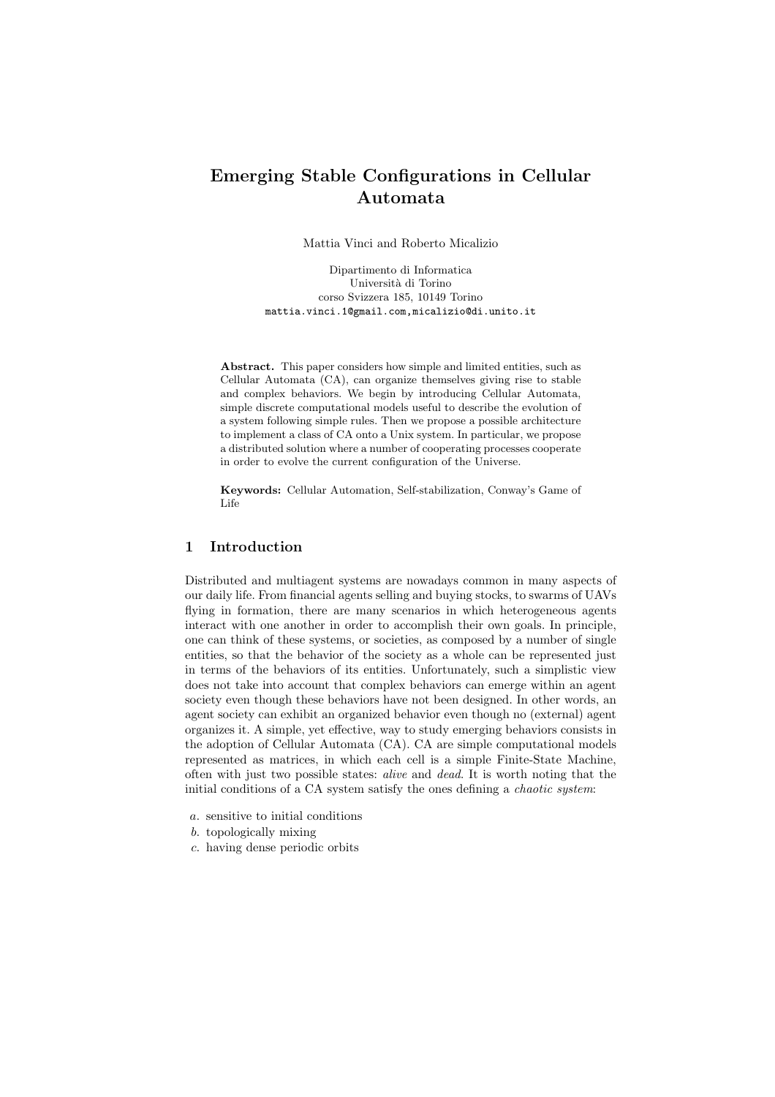# Emerging Stable Configurations in Cellular Automata

Mattia Vinci and Roberto Micalizio

Dipartimento di Informatica Universit`a di Torino corso Svizzera 185, 10149 Torino mattia.vinci.1@gmail.com,micalizio@di.unito.it

Abstract. This paper considers how simple and limited entities, such as Cellular Automata (CA), can organize themselves giving rise to stable and complex behaviors. We begin by introducing Cellular Automata, simple discrete computational models useful to describe the evolution of a system following simple rules. Then we propose a possible architecture to implement a class of CA onto a Unix system. In particular, we propose a distributed solution where a number of cooperating processes cooperate in order to evolve the current configuration of the Universe.

Keywords: Cellular Automation, Self-stabilization, Conway's Game of Life

## 1 Introduction

Distributed and multiagent systems are nowadays common in many aspects of our daily life. From financial agents selling and buying stocks, to swarms of UAVs flying in formation, there are many scenarios in which heterogeneous agents interact with one another in order to accomplish their own goals. In principle, one can think of these systems, or societies, as composed by a number of single entities, so that the behavior of the society as a whole can be represented just in terms of the behaviors of its entities. Unfortunately, such a simplistic view does not take into account that complex behaviors can emerge within an agent society even though these behaviors have not been designed. In other words, an agent society can exhibit an organized behavior even though no (external) agent organizes it. A simple, yet effective, way to study emerging behaviors consists in the adoption of Cellular Automata (CA). CA are simple computational models represented as matrices, in which each cell is a simple Finite-State Machine, often with just two possible states: *alive* and *dead*. It is worth noting that the initial conditions of a CA system satisfy the ones defining a *chaotic system*:

- *a.* sensitive to initial conditions
- *b.* topologically mixing
- *c.* having dense periodic orbits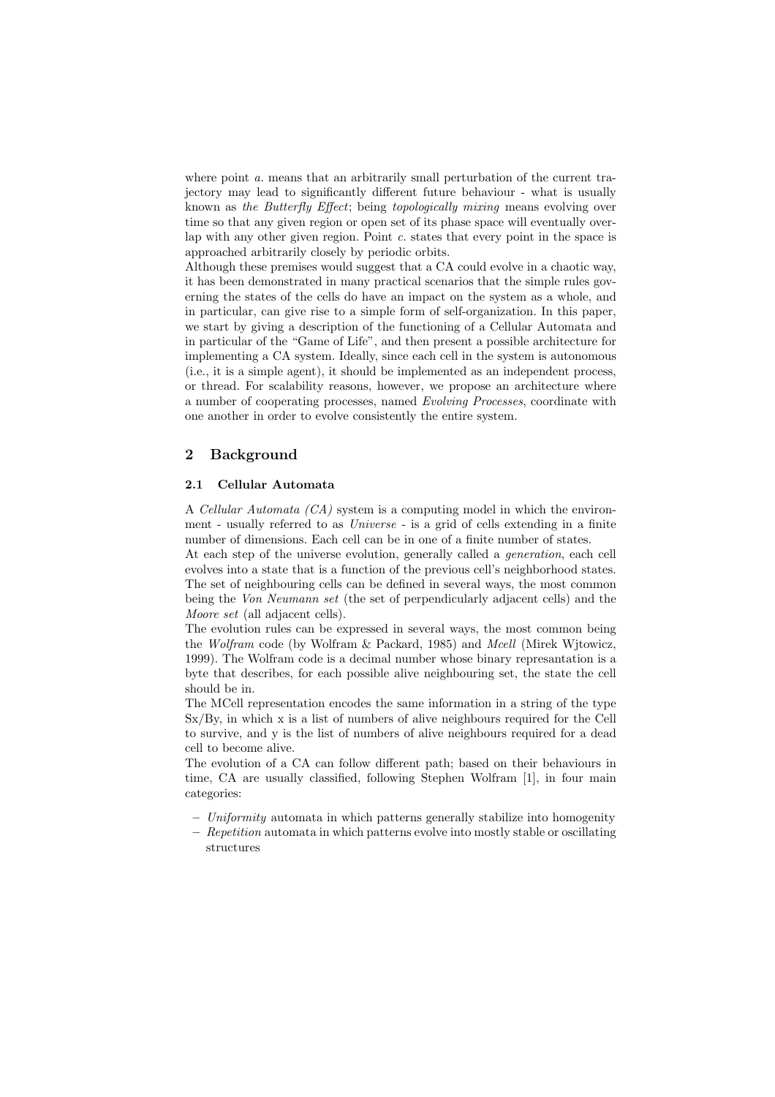where point *a*. means that an arbitrarily small perturbation of the current trajectory may lead to significantly different future behaviour - what is usually known as *the Butterfly Effect*; being *topologically mixing* means evolving over time so that any given region or open set of its phase space will eventually overlap with any other given region. Point *c.* states that every point in the space is approached arbitrarily closely by periodic orbits.

Although these premises would suggest that a CA could evolve in a chaotic way, it has been demonstrated in many practical scenarios that the simple rules governing the states of the cells do have an impact on the system as a whole, and in particular, can give rise to a simple form of self-organization. In this paper, we start by giving a description of the functioning of a Cellular Automata and in particular of the "Game of Life", and then present a possible architecture for implementing a CA system. Ideally, since each cell in the system is autonomous (i.e., it is a simple agent), it should be implemented as an independent process, or thread. For scalability reasons, however, we propose an architecture where a number of cooperating processes, named *Evolving Processes*, coordinate with one another in order to evolve consistently the entire system.

### 2 Background

#### 2.1 Cellular Automata

A *Cellular Automata (CA)* system is a computing model in which the environment - usually referred to as *Universe* - is a grid of cells extending in a finite number of dimensions. Each cell can be in one of a finite number of states.

At each step of the universe evolution, generally called a *generation*, each cell evolves into a state that is a function of the previous cell's neighborhood states. The set of neighbouring cells can be defined in several ways, the most common being the *Von Neumann set* (the set of perpendicularly adjacent cells) and the *Moore set* (all adjacent cells).

The evolution rules can be expressed in several ways, the most common being the *Wolfram* code (by Wolfram & Packard, 1985) and *Mcell* (Mirek Wjtowicz, 1999). The Wolfram code is a decimal number whose binary represantation is a byte that describes, for each possible alive neighbouring set, the state the cell should be in.

The MCell representation encodes the same information in a string of the type Sx/By, in which x is a list of numbers of alive neighbours required for the Cell to survive, and y is the list of numbers of alive neighbours required for a dead cell to become alive.

The evolution of a CA can follow different path; based on their behaviours in time, CA are usually classified, following Stephen Wolfram [1], in four main categories:

- *Uniformity* automata in which patterns generally stabilize into homogenity
- *Repetition* automata in which patterns evolve into mostly stable or oscillating structures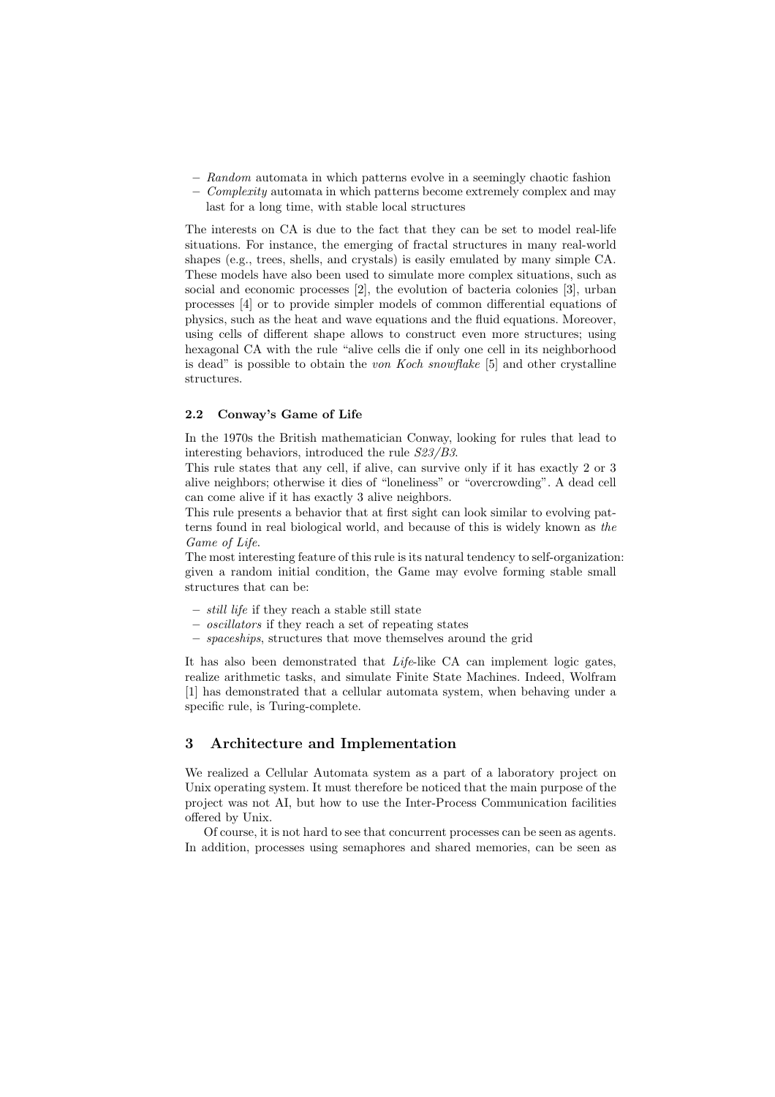- *Random* automata in which patterns evolve in a seemingly chaotic fashion
- *Complexity* automata in which patterns become extremely complex and may last for a long time, with stable local structures

The interests on CA is due to the fact that they can be set to model real-life situations. For instance, the emerging of fractal structures in many real-world shapes (e.g., trees, shells, and crystals) is easily emulated by many simple CA. These models have also been used to simulate more complex situations, such as social and economic processes [2], the evolution of bacteria colonies [3], urban processes [4] or to provide simpler models of common differential equations of physics, such as the heat and wave equations and the fluid equations. Moreover, using cells of different shape allows to construct even more structures; using hexagonal CA with the rule "alive cells die if only one cell in its neighborhood is dead" is possible to obtain the *von Koch snowflake* [5] and other crystalline structures.

#### 2.2 Conway's Game of Life

In the 1970s the British mathematician Conway, looking for rules that lead to interesting behaviors, introduced the rule *S23/B3*.

This rule states that any cell, if alive, can survive only if it has exactly 2 or 3 alive neighbors; otherwise it dies of "loneliness" or "overcrowding". A dead cell can come alive if it has exactly 3 alive neighbors.

This rule presents a behavior that at first sight can look similar to evolving patterns found in real biological world, and because of this is widely known as *the Game of Life*.

The most interesting feature of this rule is its natural tendency to self-organization: given a random initial condition, the Game may evolve forming stable small structures that can be:

- *still life* if they reach a stable still state
- *oscillators* if they reach a set of repeating states
- *spaceships*, structures that move themselves around the grid

It has also been demonstrated that *Life*-like CA can implement logic gates, realize arithmetic tasks, and simulate Finite State Machines. Indeed, Wolfram [1] has demonstrated that a cellular automata system, when behaving under a specific rule, is Turing-complete.

#### 3 Architecture and Implementation

We realized a Cellular Automata system as a part of a laboratory project on Unix operating system. It must therefore be noticed that the main purpose of the project was not AI, but how to use the Inter-Process Communication facilities offered by Unix.

Of course, it is not hard to see that concurrent processes can be seen as agents. In addition, processes using semaphores and shared memories, can be seen as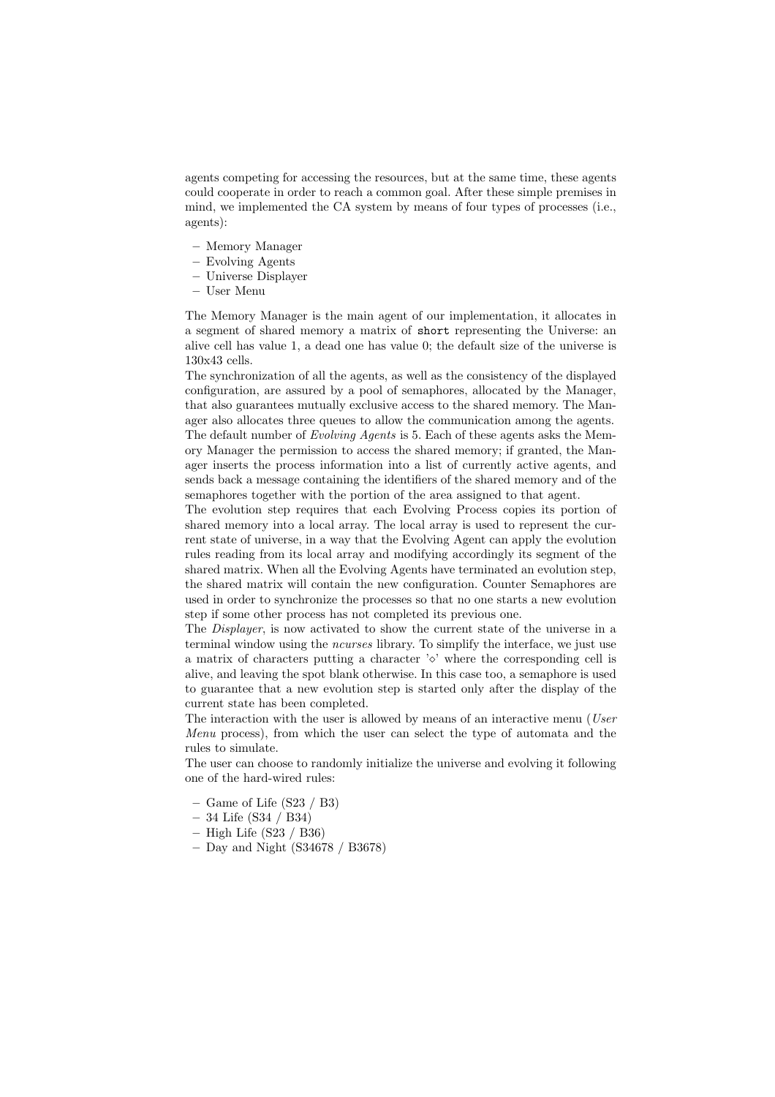agents competing for accessing the resources, but at the same time, these agents could cooperate in order to reach a common goal. After these simple premises in mind, we implemented the CA system by means of four types of processes (i.e., agents):

- Memory Manager
- Evolving Agents
- Universe Displayer
- User Menu

The Memory Manager is the main agent of our implementation, it allocates in a segment of shared memory a matrix of short representing the Universe: an alive cell has value 1, a dead one has value 0; the default size of the universe is 130x43 cells.

The synchronization of all the agents, as well as the consistency of the displayed configuration, are assured by a pool of semaphores, allocated by the Manager, that also guarantees mutually exclusive access to the shared memory. The Manager also allocates three queues to allow the communication among the agents. The default number of *Evolving Agents* is 5. Each of these agents asks the Memory Manager the permission to access the shared memory; if granted, the Manager inserts the process information into a list of currently active agents, and sends back a message containing the identifiers of the shared memory and of the semaphores together with the portion of the area assigned to that agent.

The evolution step requires that each Evolving Process copies its portion of shared memory into a local array. The local array is used to represent the current state of universe, in a way that the Evolving Agent can apply the evolution rules reading from its local array and modifying accordingly its segment of the shared matrix. When all the Evolving Agents have terminated an evolution step, the shared matrix will contain the new configuration. Counter Semaphores are used in order to synchronize the processes so that no one starts a new evolution step if some other process has not completed its previous one.

The *Displayer*, is now activated to show the current state of the universe in a terminal window using the *ncurses* library. To simplify the interface, we just use a matrix of characters putting a character  $\sim$  where the corresponding cell is alive, and leaving the spot blank otherwise. In this case too, a semaphore is used to guarantee that a new evolution step is started only after the display of the current state has been completed.

The interaction with the user is allowed by means of an interactive menu (*User Menu* process), from which the user can select the type of automata and the rules to simulate.

The user can choose to randomly initialize the universe and evolving it following one of the hard-wired rules:

- Game of Life  $(S23 / B3)$
- 34 Life (S34 / B34)
- $-$  High Life (S23 / B36)
- Day and Night (S34678 / B3678)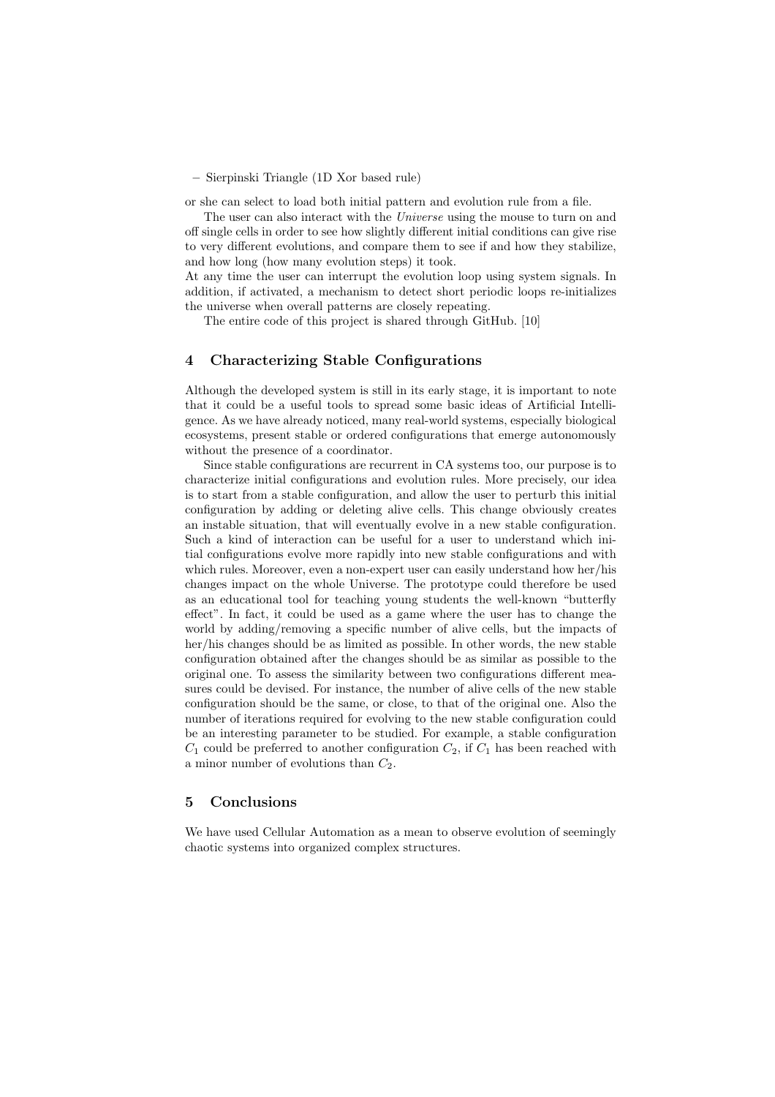– Sierpinski Triangle (1D Xor based rule)

or she can select to load both initial pattern and evolution rule from a file.

The user can also interact with the *Universe* using the mouse to turn on and off single cells in order to see how slightly different initial conditions can give rise to very different evolutions, and compare them to see if and how they stabilize, and how long (how many evolution steps) it took.

At any time the user can interrupt the evolution loop using system signals. In addition, if activated, a mechanism to detect short periodic loops re-initializes the universe when overall patterns are closely repeating.

The entire code of this project is shared through GitHub. [10]

#### 4 Characterizing Stable Configurations

Although the developed system is still in its early stage, it is important to note that it could be a useful tools to spread some basic ideas of Artificial Intelligence. As we have already noticed, many real-world systems, especially biological ecosystems, present stable or ordered configurations that emerge autonomously without the presence of a coordinator.

Since stable configurations are recurrent in CA systems too, our purpose is to characterize initial configurations and evolution rules. More precisely, our idea is to start from a stable configuration, and allow the user to perturb this initial configuration by adding or deleting alive cells. This change obviously creates an instable situation, that will eventually evolve in a new stable configuration. Such a kind of interaction can be useful for a user to understand which initial configurations evolve more rapidly into new stable configurations and with which rules. Moreover, even a non-expert user can easily understand how her/his changes impact on the whole Universe. The prototype could therefore be used as an educational tool for teaching young students the well-known "butterfly effect". In fact, it could be used as a game where the user has to change the world by adding/removing a specific number of alive cells, but the impacts of her/his changes should be as limited as possible. In other words, the new stable configuration obtained after the changes should be as similar as possible to the original one. To assess the similarity between two configurations different measures could be devised. For instance, the number of alive cells of the new stable configuration should be the same, or close, to that of the original one. Also the number of iterations required for evolving to the new stable configuration could be an interesting parameter to be studied. For example, a stable configuration  $C_1$  could be preferred to another configuration  $C_2$ , if  $C_1$  has been reached with a minor number of evolutions than *C*2.

## 5 Conclusions

We have used Cellular Automation as a mean to observe evolution of seemingly chaotic systems into organized complex structures.